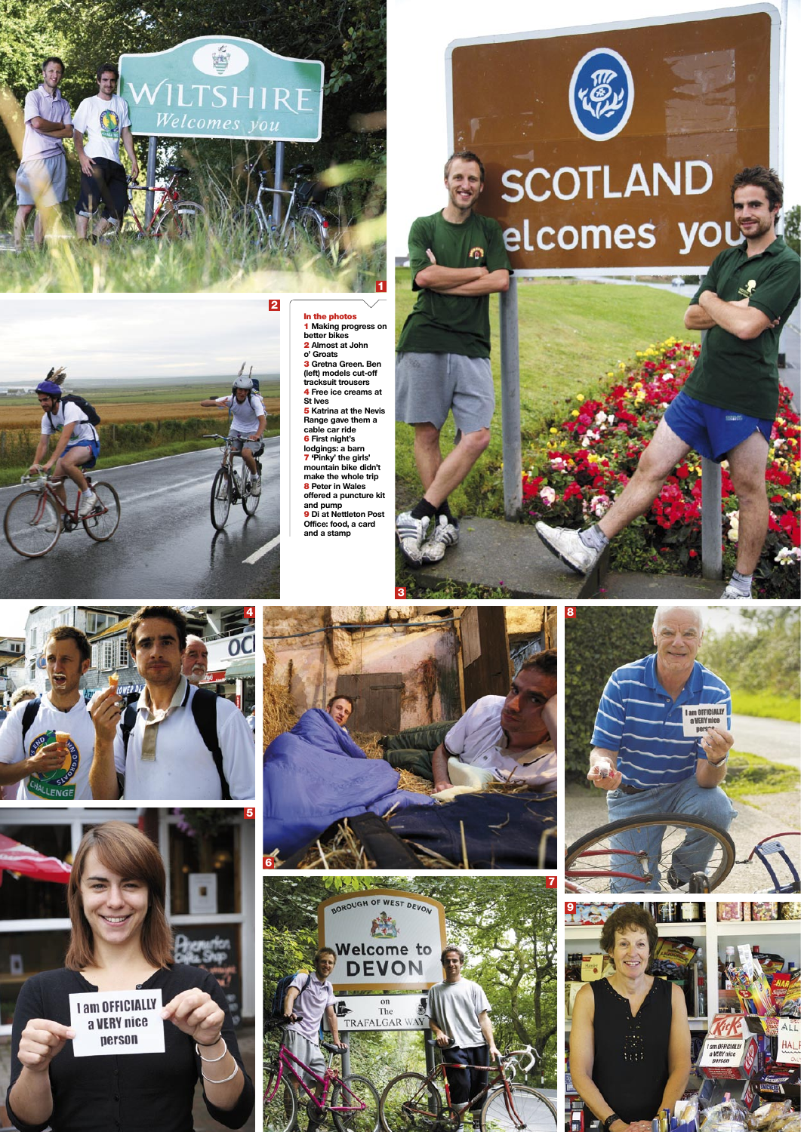



# **the photos**

1 **Making progress on better bikes** 2 **Almost at John o' Groats**  3 **Gretna Green. Ben (left) models cut-off tracksuit trousers** 4 **Free ice creams at** 

**St Ives** 5 **Katrina at the Nevis Range gave them a cable car ride** 6 **First night's lodgings: a barn**  7 '**Pinky' the girls' mountain bike didn't make the whole trip** 8 **Peter in Wales offered a puncture kit and pump** 9 **Di at Nettleton Post Office: food, a card and a stamp**



# SCOTLAND



**5**

**1 am OFFICIALLY** a VERY nice person



**3**



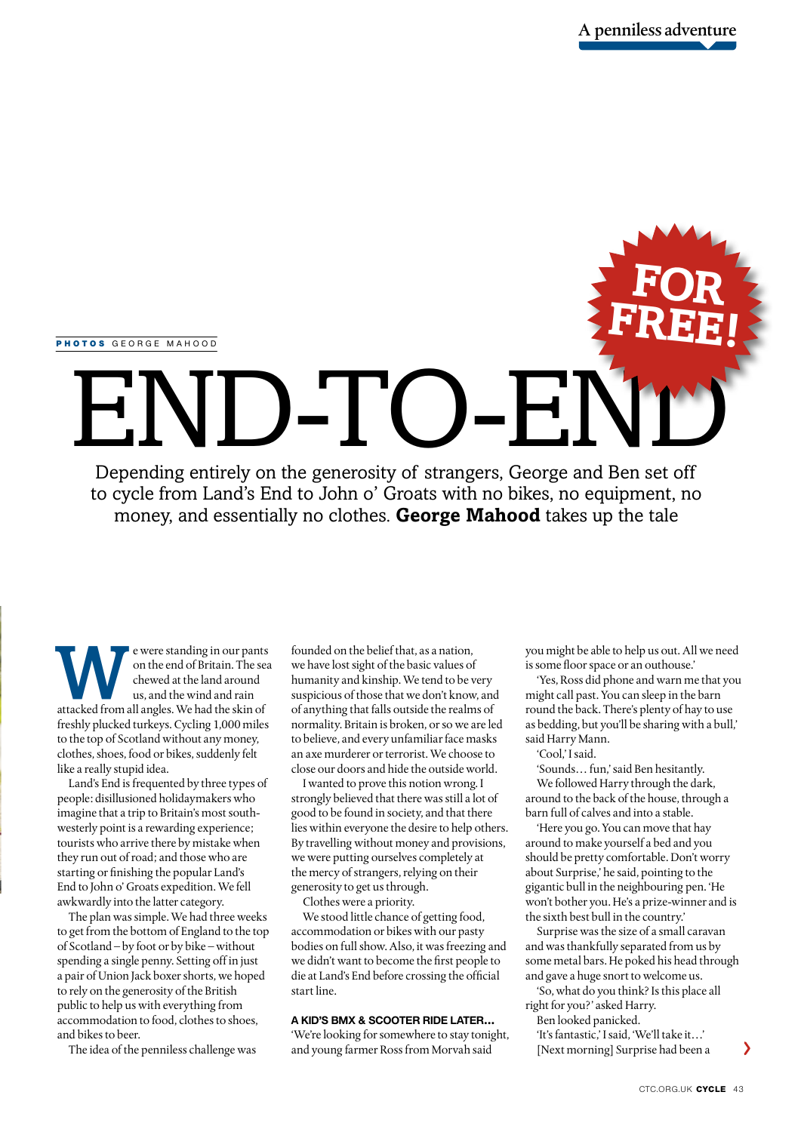**for** 

**free!**

photos george Mahood

# D-TO-

Depending entirely on the generosity of strangers, George and Ben set off to cycle from Land's End to John o' Groats with no bikes, no equipment, no money, and essentially no clothes. **George Mahood** takes up the tale

Extending in our pants<br>
on the end of Britain. The sea<br>
chewed at the land around<br>
us, and the wind and rain<br>
attacked from all angles. We had the skin of on the end of Britain. The sea chewed at the land around us, and the wind and rain freshly plucked turkeys. Cycling 1,000 miles to the top of Scotland without any money, clothes, shoes, food or bikes, suddenly felt like a really stupid idea.

Land's End is frequented by three types of people: disillusioned holidaymakers who imagine that a trip to Britain's most southwesterly point is a rewarding experience; tourists who arrive there by mistake when they run out of road; and those who are starting or finishing the popular Land's End to John o' Groats expedition. We fell awkwardly into the latter category.

The plan was simple. We had three weeks to get from the bottom of England to the top of Scotland – by foot or by bike – without spending a single penny. Setting off in just a pair of Union Jack boxer shorts, we hoped to rely on the generosity of the British public to help us with everything from accommodation to food, clothes to shoes, and bikes to beer.

The idea of the penniless challenge was

founded on the belief that, as a nation, we have lost sight of the basic values of humanity and kinship. We tend to be very suspicious of those that we don't know, and of anything that falls outside the realms of normality. Britain is broken, or so we are led to believe, and every unfamiliar face masks an axe murderer or terrorist. We choose to close our doors and hide the outside world.

I wanted to prove this notion wrong. I strongly believed that there was still a lot of good to be found in society, and that there lies within everyone the desire to help others. By travelling without money and provisions, we were putting ourselves completely at the mercy of strangers, relying on their generosity to get us through.

Clothes were a priority.

We stood little chance of getting food, accommodation or bikes with our pasty bodies on full show. Also, it was freezing and we didn't want to become the first people to die at Land's End before crossing the official start line.

### **A kid's bmx & scooter ride later…**

'We're looking for somewhere to stay tonight, and young farmer Ross from Morvah said

you might be able to help us out. All we need is some floor space or an outhouse.'

'Yes, Ross did phone and warn me that you might call past. You can sleep in the barn round the back. There's plenty of hay to use as bedding, but you'll be sharing with a bull,' said Harry Mann.

'Cool,' I said.

'Sounds… fun,' said Ben hesitantly. We followed Harry through the dark, around to the back of the house, through a barn full of calves and into a stable.

'Here you go. You can move that hay around to make yourself a bed and you should be pretty comfortable. Don't worry about Surprise,' he said, pointing to the gigantic bull in the neighbouring pen. 'He won't bother you. He's a prize-winner and is the sixth best bull in the country.'

Surprise was the size of a small caravan and was thankfully separated from us by some metal bars. He poked his head through and gave a huge snort to welcome us.

'So, what do you think? Is this place all right for you?' asked Harry.

- Ben looked panicked.
- 'It's fantastic,' I said, 'We'll take it…' [Next morning] Surprise had been a

 $\mathcal Y$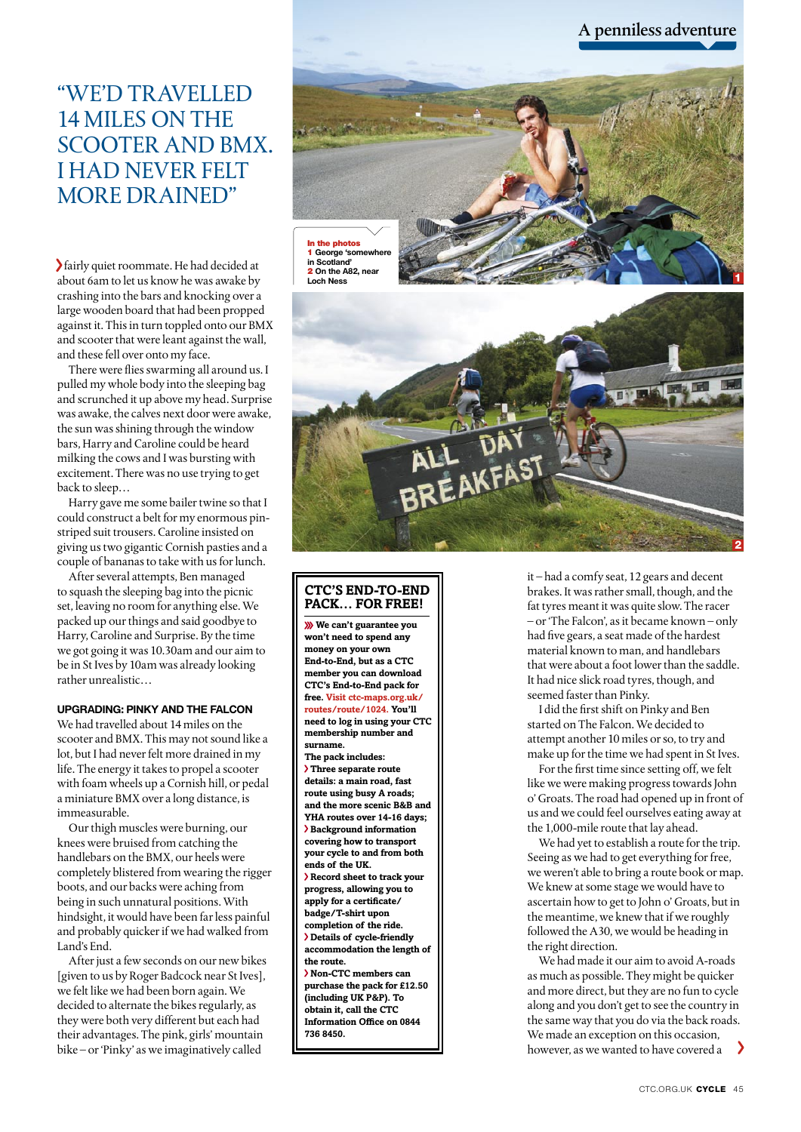# "we'd travelled 14 miles on the scooter and bmx. I had never felt more drained"

fairly quiet roommate. He had decided at about 6am to let us know he was awake by crashing into the bars and knocking over a large wooden board that had been propped against it. This in turn toppled onto our BMX and scooter that were leant against the wall, and these fell over onto my face.

There were flies swarming all around us. I pulled my whole body into the sleeping bag and scrunched it up above my head. Surprise was awake, the calves next door were awake, the sun was shining through the window bars, Harry and Caroline could be heard milking the cows and I was bursting with excitement. There was no use trying to get back to sleep…

Harry gave me some bailer twine so that I could construct a belt for my enormous pinstriped suit trousers. Caroline insisted on giving us two gigantic Cornish pasties and a couple of bananas to take with us for lunch.

After several attempts, Ben managed to squash the sleeping bag into the picnic set, leaving no room for anything else. We packed up our things and said goodbye to Harry, Caroline and Surprise. By the time we got going it was 10.30am and our aim to be in St Ives by 10am was already looking rather unrealistic…

# **upgrading: Pinky and The Falcon**

We had travelled about 14 miles on the scooter and BMX. This may not sound like a lot, but I had never felt more drained in my life. The energy it takes to propel a scooter with foam wheels up a Cornish hill, or pedal a miniature BMX over a long distance, is immeasurable.

Our thigh muscles were burning, our knees were bruised from catching the handlebars on the BMX, our heels were completely blistered from wearing the rigger boots, and our backs were aching from being in such unnatural positions. With hindsight, it would have been far less painful and probably quicker if we had walked from Land's End.

After just a few seconds on our new bikes [given to us by Roger Badcock near St Ives], we felt like we had been born again. We decided to alternate the bikes regularly, as they were both very different but each had their advantages. The pink, girls' mountain bike – or 'Pinky' as we imaginatively called





# **CTC's End-to-End pack… for free!**

**We can't guarantee you won't need to spend any money on your own End-to-End, but as a CTC member you can download CTC's End-to-End pack for free. Visit ctc-maps.org.uk/ routes/route/1024. You'll need to log in using your CTC membership number and surname. The pack includes: Three separate route details: a main road, fast route using busy A roads; and the more scenic B&B and YHA routes over 14-16 days; Background information covering how to transport your cycle to and from both ends of the UK. Record sheet to track your progress, allowing you to apply for a certificate/ badge/T-shirt upon completion of the ride. Details of cycle-friendly accommodation the length of the route. Non-CTC members can purchase the pack for £12.50 (including UK P&P). To obtain it, call the CTC Information Office on 0844 736 8450.**

it – had a comfy seat, 12 gears and decent brakes. It was rather small, though, and the fat tyres meant it was quite slow. The racer – or 'The Falcon', as it became known – only had five gears, a seat made of the hardest material known to man, and handlebars that were about a foot lower than the saddle. It had nice slick road tyres, though, and seemed faster than Pinky.

I did the first shift on Pinky and Ben started on The Falcon. We decided to attempt another 10 miles or so, to try and make up for the time we had spent in St Ives.

For the first time since setting off, we felt like we were making progress towards John o' Groats. The road had opened up in front of us and we could feel ourselves eating away at the 1,000-mile route that lay ahead.

We had yet to establish a route for the trip. Seeing as we had to get everything for free, we weren't able to bring a route book or map. We knew at some stage we would have to ascertain how to get to John o' Groats, but in the meantime, we knew that if we roughly followed the A30, we would be heading in the right direction.

We had made it our aim to avoid A-roads as much as possible. They might be quicker and more direct, but they are no fun to cycle along and you don't get to see the country in the same way that you do via the back roads. We made an exception on this occasion, however, as we wanted to have covered a